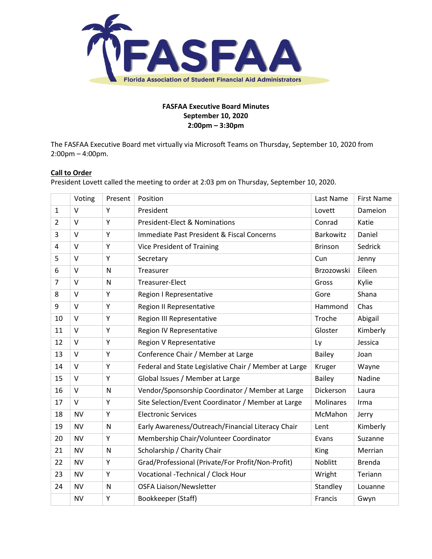

# **FASFAA Executive Board Minutes September 10, 2020 2:00pm – 3:30pm**

The FASFAA Executive Board met virtually via Microsoft Teams on Thursday, September 10, 2020 from 2:00pm – 4:00pm.

## **Call to Order**

President Lovett called the meeting to order at 2:03 pm on Thursday, September 10, 2020.

|                | Voting    | Present      | Position                                              | Last Name        | <b>First Name</b> |
|----------------|-----------|--------------|-------------------------------------------------------|------------------|-------------------|
| 1              | $\vee$    | Y            | President                                             | Lovett           | Dameion           |
| $\overline{2}$ | $\vee$    | Υ            | <b>President-Elect &amp; Nominations</b>              | Conrad           | Katie             |
| 3              | $\vee$    | Υ            | Immediate Past President & Fiscal Concerns            | Barkowitz        | Daniel            |
| 4              | $\vee$    | Y            | <b>Vice President of Training</b>                     | <b>Brinson</b>   | Sedrick           |
| 5              | $\vee$    | Υ            | Secretary                                             | Cun              | Jenny             |
| 6              | $\vee$    | $\mathsf{N}$ | Treasurer                                             | Brzozowski       | Eileen            |
| $\overline{7}$ | $\vee$    | $\mathsf{N}$ | Treasurer-Elect                                       | Gross            | Kylie             |
| 8              | $\vee$    | Y            | Region I Representative                               | Gore             | Shana             |
| 9              | $\vee$    | Υ            | <b>Region II Representative</b>                       | Hammond          | Chas              |
| 10             | $\vee$    | Υ            | Region III Representative                             | Troche           | Abigail           |
| 11             | $\vee$    | Υ            | Region IV Representative                              | Gloster          | Kimberly          |
| 12             | $\vee$    | Y            | Region V Representative                               | Ly               | Jessica           |
| 13             | $\vee$    | Υ            | Conference Chair / Member at Large                    | <b>Bailey</b>    | Joan              |
| 14             | $\vee$    | Υ            | Federal and State Legislative Chair / Member at Large | Kruger           | Wayne             |
| 15             | $\vee$    | Y            | Global Issues / Member at Large                       | <b>Bailey</b>    | Nadine            |
| 16             | $\vee$    | $\mathsf{N}$ | Vendor/Sponsorship Coordinator / Member at Large      | Dickerson        | Laura             |
| 17             | V         | Υ            | Site Selection/Event Coordinator / Member at Large    | <b>Molinares</b> | Irma              |
| 18             | <b>NV</b> | Υ            | <b>Electronic Services</b>                            | McMahon          | Jerry             |
| 19             | <b>NV</b> | $\mathsf{N}$ | Early Awareness/Outreach/Financial Literacy Chair     | Lent             | Kimberly          |
| 20             | <b>NV</b> | Υ            | Membership Chair/Volunteer Coordinator                | Evans            | Suzanne           |
| 21             | <b>NV</b> | $\mathsf{N}$ | Scholarship / Charity Chair                           | King             | Merrian           |
| 22             | <b>NV</b> | Υ            | Grad/Professional (Private/For Profit/Non-Profit)     | Noblitt          | <b>Brenda</b>     |
| 23             | <b>NV</b> | Υ            | Vocational -Technical / Clock Hour                    | Wright           | Teriann           |
| 24             | <b>NV</b> | $\mathsf{N}$ | <b>OSFA Liaison/Newsletter</b>                        | Standley         | Louanne           |
|                | <b>NV</b> | Υ            | Bookkeeper (Staff)                                    | Francis          | Gwyn              |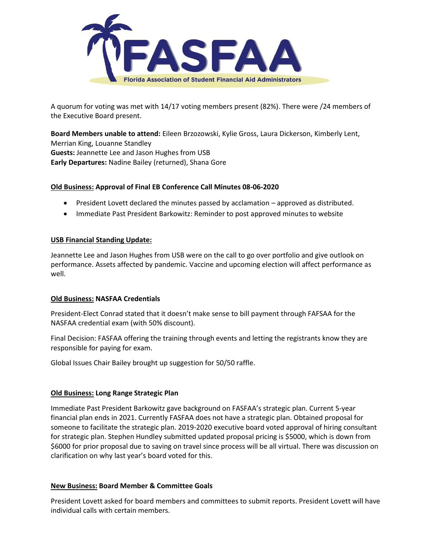

A quorum for voting was met with 14/17 voting members present (82%). There were /24 members of the Executive Board present.

**Board Members unable to attend:** Eileen Brzozowski, Kylie Gross, Laura Dickerson, Kimberly Lent, Merrian King, Louanne Standley **Guests:** Jeannette Lee and Jason Hughes from USB **Early Departures:** Nadine Bailey (returned), Shana Gore

## **Old Business: Approval of Final EB Conference Call Minutes 08-06-2020**

- President Lovett declared the minutes passed by acclamation approved as distributed.
- Immediate Past President Barkowitz: Reminder to post approved minutes to website

#### **USB Financial Standing Update:**

Jeannette Lee and Jason Hughes from USB were on the call to go over portfolio and give outlook on performance. Assets affected by pandemic. Vaccine and upcoming election will affect performance as well.

#### **Old Business: NASFAA Credentials**

President-Elect Conrad stated that it doesn't make sense to bill payment through FAFSAA for the NASFAA credential exam (with 50% discount).

Final Decision: FASFAA offering the training through events and letting the registrants know they are responsible for paying for exam.

Global Issues Chair Bailey brought up suggestion for 50/50 raffle.

#### **Old Business: Long Range Strategic Plan**

Immediate Past President Barkowitz gave background on FASFAA's strategic plan. Current 5-year financial plan ends in 2021. Currently FASFAA does not have a strategic plan. Obtained proposal for someone to facilitate the strategic plan. 2019-2020 executive board voted approval of hiring consultant for strategic plan. Stephen Hundley submitted updated proposal pricing is \$5000, which is down from \$6000 for prior proposal due to saving on travel since process will be all virtual. There was discussion on clarification on why last year's board voted for this.

#### **New Business: Board Member & Committee Goals**

President Lovett asked for board members and committees to submit reports. President Lovett will have individual calls with certain members.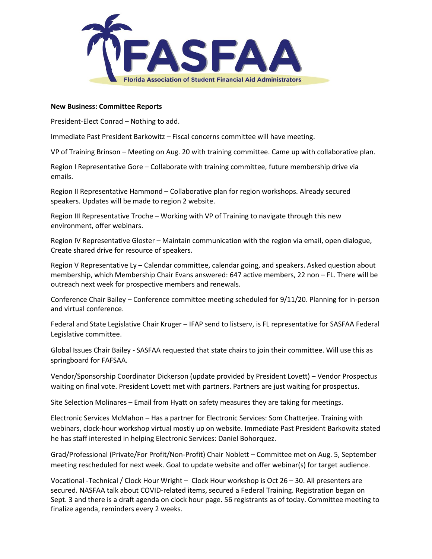

#### **New Business: Committee Reports**

President-Elect Conrad – Nothing to add.

Immediate Past President Barkowitz – Fiscal concerns committee will have meeting.

VP of Training Brinson – Meeting on Aug. 20 with training committee. Came up with collaborative plan.

Region I Representative Gore – Collaborate with training committee, future membership drive via emails.

Region II Representative Hammond – Collaborative plan for region workshops. Already secured speakers. Updates will be made to region 2 website.

Region III Representative Troche – Working with VP of Training to navigate through this new environment, offer webinars.

Region IV Representative Gloster – Maintain communication with the region via email, open dialogue, Create shared drive for resource of speakers.

Region V Representative Ly – Calendar committee, calendar going, and speakers. Asked question about membership, which Membership Chair Evans answered: 647 active members, 22 non – FL. There will be outreach next week for prospective members and renewals.

Conference Chair Bailey – Conference committee meeting scheduled for 9/11/20. Planning for in-person and virtual conference.

Federal and State Legislative Chair Kruger – IFAP send to listserv, is FL representative for SASFAA Federal Legislative committee.

Global Issues Chair Bailey - SASFAA requested that state chairs to join their committee. Will use this as springboard for FAFSAA.

Vendor/Sponsorship Coordinator Dickerson (update provided by President Lovett) – Vendor Prospectus waiting on final vote. President Lovett met with partners. Partners are just waiting for prospectus.

Site Selection Molinares – Email from Hyatt on safety measures they are taking for meetings.

Electronic Services McMahon – Has a partner for Electronic Services: Som Chatterjee. Training with webinars, clock-hour workshop virtual mostly up on website. Immediate Past President Barkowitz stated he has staff interested in helping Electronic Services: Daniel Bohorquez.

Grad/Professional (Private/For Profit/Non-Profit) Chair Noblett – Committee met on Aug. 5, September meeting rescheduled for next week. Goal to update website and offer webinar(s) for target audience.

Vocational -Technical / Clock Hour Wright – Clock Hour workshop is Oct 26 – 30. All presenters are secured. NASFAA talk about COVID-related items, secured a Federal Training. Registration began on Sept. 3 and there is a draft agenda on clock hour page. 56 registrants as of today. Committee meeting to finalize agenda, reminders every 2 weeks.